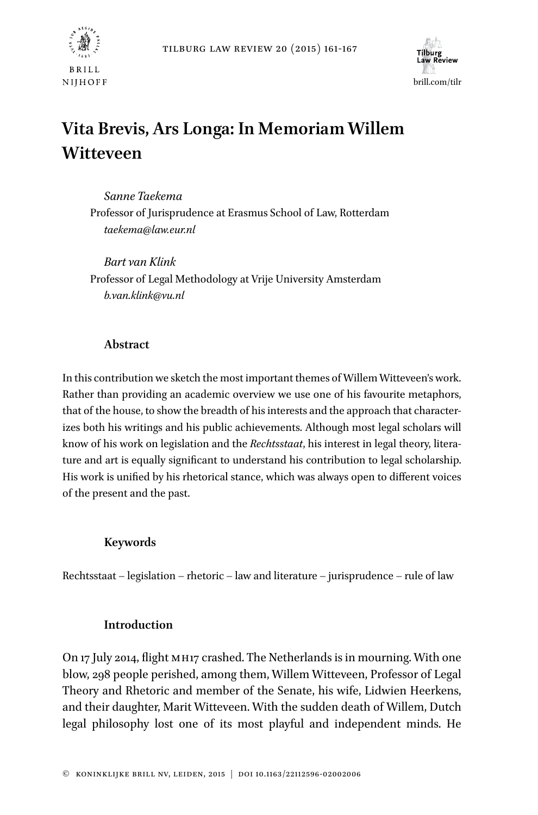



# **Vita Brevis, Ars Longa: In Memoriam Willem Witteveen**

*Sanne Taekema*

Professor of Jurisprudence at Erasmus School of Law, Rotterdam *taekema@law.eur.nl*

*Bart van Klink* Professor of Legal Methodology at Vrije University Amsterdam *b.van.klink@vu.nl*

# **Abstract**

In this contribution we sketch the most important themes of Willem Witteveen's work. Rather than providing an academic overview we use one of his favourite metaphors, that of the house, to show the breadth of his interests and the approach that characterizes both his writings and his public achievements. Although most legal scholars will know of his work on legislation and the *Rechtsstaat*, his interest in legal theory, literature and art is equally significant to understand his contribution to legal scholarship. His work is unified by his rhetorical stance, which was always open to different voices of the present and the past.

# **Keywords**

Rechtsstaat – legislation – rhetoric – law and literature – jurisprudence – rule of law

# **Introduction**

On 17 July 2014, flight mh17 crashed. The Netherlands is in mourning. With one blow, 298 people perished, among them, Willem Witteveen, Professor of Legal Theory and Rhetoric and member of the Senate, his wife, Lidwien Heerkens, and their daughter, Marit Witteveen. With the sudden death of Willem, Dutch legal philosophy lost one of its most playful and independent minds. He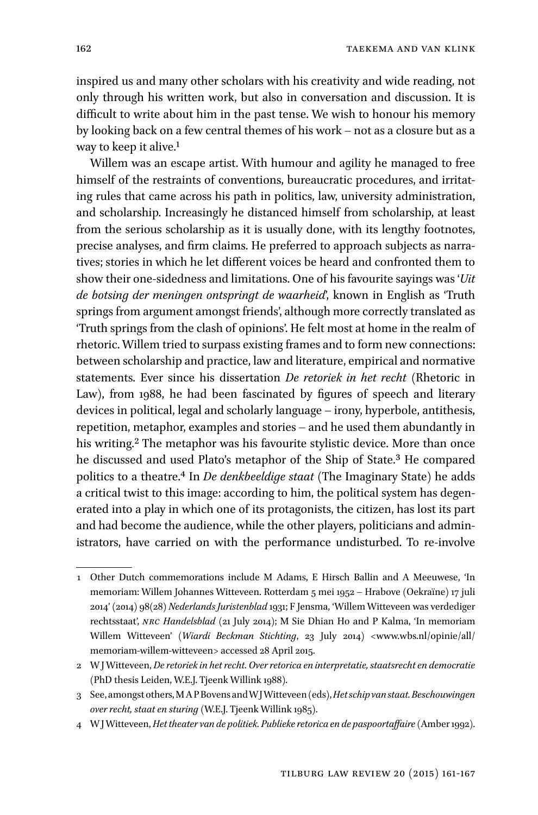inspired us and many other scholars with his creativity and wide reading, not only through his written work, but also in conversation and discussion. It is difficult to write about him in the past tense. We wish to honour his memory by looking back on a few central themes of his work – not as a closure but as a way to keep it alive.<sup>1</sup>

Willem was an escape artist. With humour and agility he managed to free himself of the restraints of conventions, bureaucratic procedures, and irritating rules that came across his path in politics, law, university administration, and scholarship. Increasingly he distanced himself from scholarship, at least from the serious scholarship as it is usually done, with its lengthy footnotes, precise analyses, and firm claims. He preferred to approach subjects as narratives; stories in which he let different voices be heard and confronted them to show their one-sidedness and limitations. One of his favourite sayings was '*Uit de botsing der meningen ontspringt de waarheid*', known in English as 'Truth springs from argument amongst friends', although more correctly translated as 'Truth springs from the clash of opinions'. He felt most at home in the realm of rhetoric. Willem tried to surpass existing frames and to form new connections: between scholarship and practice, law and literature, empirical and normative statements. Ever since his dissertation *De retoriek in het recht* (Rhetoric in Law), from 1988, he had been fascinated by figures of speech and literary devices in political, legal and scholarly language – irony, hyperbole, antithesis, repetition, metaphor, examples and stories – and he used them abundantly in his writing.<sup>2</sup> The metaphor was his favourite stylistic device. More than once he discussed and used Plato's metaphor of the Ship of State.<sup>3</sup> He compared politics to a theatre.4 In *De denkbeeldige staat* (The Imaginary State) he adds a critical twist to this image: according to him, the political system has degenerated into a play in which one of its protagonists, the citizen, has lost its part and had become the audience, while the other players, politicians and administrators, have carried on with the performance undisturbed. To re-involve

<sup>1</sup> Other Dutch commemorations include M Adams, E Hirsch Ballin and A Meeuwese, 'In memoriam: Willem Johannes Witteveen. Rotterdam 5 mei 1952 – Hrabove (Oekraïne) 17 juli 2014' (2014) 98(28) *Nederlands Juristenblad* 1931; F Jensma, 'Willem Witteveen was verdediger rechtsstaat', *NRC Handelsblad* (21 July 2014); M Sie Dhian Ho and P Kalma, 'In memoriam Willem Witteveen' (*Wiardi Beckman Stichting*, 23 July 2014) [<www.wbs.nl/opinie/all/](http://www.wbs.nl/opinie/all/memoriam-willem-witteveen) [memoriam-willem-witteveen](http://www.wbs.nl/opinie/all/memoriam-willem-witteveen)> accessed 28 April 2015.

<sup>2</sup> W J Witteveen, *De retoriek in het recht. Over retorica en interpretatie, staatsrecht en democratie* (PhD thesis Leiden, W.E.J. Tjeenk Willink 1988).

<sup>3</sup> See, amongst others, M A P Bovens and W J Witteveen (eds), *Het schip van staat. Beschouwingen over recht, staat en sturing* (W.E.J. Tjeenk Willink 1985).

<sup>4</sup> W J Witteveen, *Het theater van de politiek. Publieke retorica en de paspoortaffaire* (Amber 1992).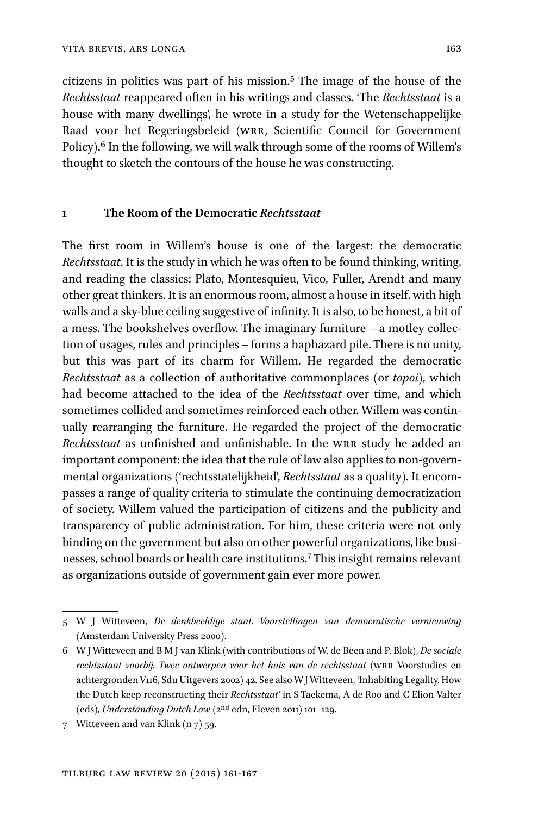citizens in politics was part of his mission.5 The image of the house of the *Rechtsstaat* reappeared often in his writings and classes. 'The *Rechtsstaat* is a house with many dwellings', he wrote in a study for the Wetenschappelijke Raad voor het Regeringsbeleid (wrr, Scientific Council for Government Policy).6 In the following, we will walk through some of the rooms of Willem's thought to sketch the contours of the house he was constructing.

### **1 The Room of the Democratic** *Rechtsstaat*

The first room in Willem's house is one of the largest: the democratic *Rechtsstaat*. It is the study in which he was often to be found thinking, writing, and reading the classics: Plato, Montesquieu, Vico, Fuller, Arendt and many other great thinkers. It is an enormous room, almost a house in itself, with high walls and a sky-blue ceiling suggestive of infinity. It is also, to be honest, a bit of a mess. The bookshelves overflow. The imaginary furniture – a motley collection of usages, rules and principles – forms a haphazard pile. There is no unity, but this was part of its charm for Willem. He regarded the democratic *Rechtsstaat* as a collection of authoritative commonplaces (or *topoi*), which had become attached to the idea of the *Rechtsstaat* over time, and which sometimes collided and sometimes reinforced each other. Willem was continually rearranging the furniture. He regarded the project of the democratic *Rechtsstaat* as unfinished and unfinishable. In the WRR study he added an important component: the idea that the rule of law also applies to non-governmental organizations ('rechtsstatelijkheid', *Rechtsstaat* as a quality). It encompasses a range of quality criteria to stimulate the continuing democratization of society. Willem valued the participation of citizens and the publicity and transparency of public administration. For him, these criteria were not only binding on the government but also on other powerful organizations, like businesses, school boards or health care institutions.7 This insight remains relevant as organizations outside of government gain ever more power.

<sup>5</sup> W J Witteveen, *De denkbeeldige staat. Voorstellingen van democratische vernieuwing* (Amsterdam University Press 2000).

<sup>6</sup> W J Witteveen and B M J van Klink (with contributions of W. de Been and P. Blok), *De sociale rechtsstaat voorbij. Twee ontwerpen voor het huis van de rechtsstaat* (WRR Voorstudies en achtergronden V116, Sdu Uitgevers 2002) 42. See also W J Witteveen, 'Inhabiting Legality. How the Dutch keep reconstructing their *Rechtsstaat'* in S Taekema, A de Roo and C Elion-Valter (eds), *Understanding Dutch Law* (2nd edn, Eleven 2011) 101–129.

<sup>7</sup> Witteveen and van Klink (n 7) 59.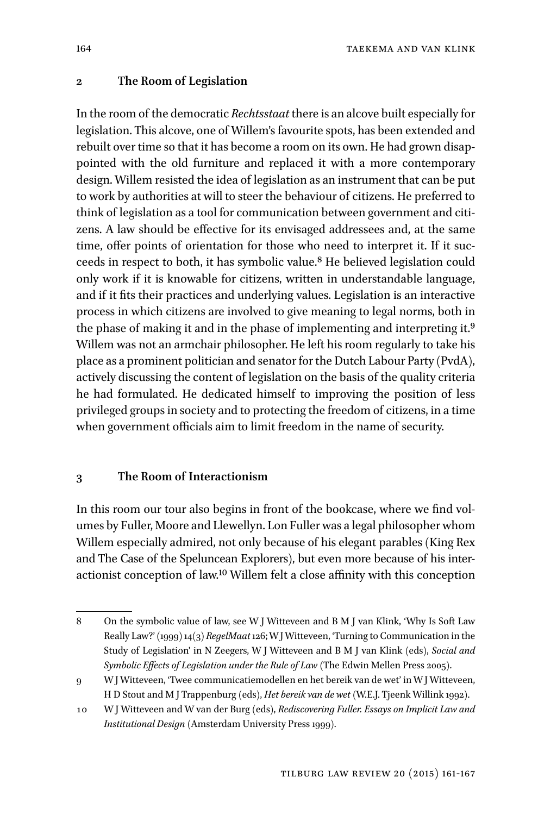#### **2 The Room of Legislation**

In the room of the democratic *Rechtsstaat* there is an alcove built especially for legislation. This alcove, one of Willem's favourite spots, has been extended and rebuilt over time so that it has become a room on its own. He had grown disappointed with the old furniture and replaced it with a more contemporary design. Willem resisted the idea of legislation as an instrument that can be put to work by authorities at will to steer the behaviour of citizens. He preferred to think of legislation as a tool for communication between government and citizens. A law should be effective for its envisaged addressees and, at the same time, offer points of orientation for those who need to interpret it. If it succeeds in respect to both, it has symbolic value.8 He believed legislation could only work if it is knowable for citizens, written in understandable language, and if it fits their practices and underlying values. Legislation is an interactive process in which citizens are involved to give meaning to legal norms, both in the phase of making it and in the phase of implementing and interpreting it.<sup>9</sup> Willem was not an armchair philosopher. He left his room regularly to take his place as a prominent politician and senator for the Dutch Labour Party (PvdA), actively discussing the content of legislation on the basis of the quality criteria he had formulated. He dedicated himself to improving the position of less privileged groups in society and to protecting the freedom of citizens, in a time when government officials aim to limit freedom in the name of security.

## **3 The Room of Interactionism**

In this room our tour also begins in front of the bookcase, where we find volumes by Fuller, Moore and Llewellyn. Lon Fuller was a legal philosopher whom Willem especially admired, not only because of his elegant parables (King Rex and The Case of the Speluncean Explorers), but even more because of his interactionist conception of law.10 Willem felt a close affinity with this conception

<sup>8</sup> On the symbolic value of law, see W J Witteveen and B M J van Klink, 'Why Is Soft Law Really Law?' (1999) 14(3) *RegelMaat* 126; W J Witteveen, 'Turning to Communication in the Study of Legislation' in N Zeegers, W J Witteveen and B M J van Klink (eds), *Social and Symbolic Effects of Legislation under the Rule of Law* (The Edwin Mellen Press 2005).

<sup>9</sup> W J Witteveen, 'Twee communicatiemodellen en het bereik van de wet' in W J Witteveen, H D Stout and M J Trappenburg (eds), *Het bereik van de wet* (W.E.J. Tjeenk Willink 1992).

<sup>10</sup> W J Witteveen and W van der Burg (eds), *Rediscovering Fuller. Essays on Implicit Law and Institutional Design* (Amsterdam University Press 1999).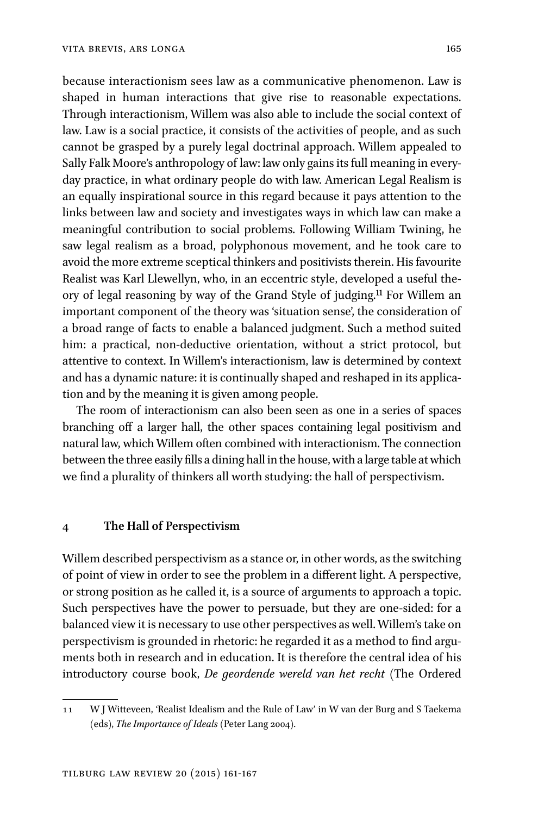because interactionism sees law as a communicative phenomenon. Law is shaped in human interactions that give rise to reasonable expectations. Through interactionism, Willem was also able to include the social context of law. Law is a social practice, it consists of the activities of people, and as such cannot be grasped by a purely legal doctrinal approach. Willem appealed to Sally Falk Moore's anthropology of law: law only gains its full meaning in everyday practice, in what ordinary people do with law. American Legal Realism is an equally inspirational source in this regard because it pays attention to the links between law and society and investigates ways in which law can make a meaningful contribution to social problems. Following William Twining, he saw legal realism as a broad, polyphonous movement, and he took care to avoid the more extreme sceptical thinkers and positivists therein. His favourite Realist was Karl Llewellyn, who, in an eccentric style, developed a useful theory of legal reasoning by way of the Grand Style of judging.11 For Willem an important component of the theory was 'situation sense', the consideration of a broad range of facts to enable a balanced judgment. Such a method suited him: a practical, non-deductive orientation, without a strict protocol, but attentive to context. In Willem's interactionism, law is determined by context and has a dynamic nature: it is continually shaped and reshaped in its application and by the meaning it is given among people.

The room of interactionism can also been seen as one in a series of spaces branching off a larger hall, the other spaces containing legal positivism and natural law, which Willem often combined with interactionism. The connection between the three easily fills a dining hall in the house, with a large table at which we find a plurality of thinkers all worth studying: the hall of perspectivism.

#### **4 The Hall of Perspectivism**

Willem described perspectivism as a stance or, in other words, as the switching of point of view in order to see the problem in a different light. A perspective, or strong position as he called it, is a source of arguments to approach a topic. Such perspectives have the power to persuade, but they are one-sided: for a balanced view it is necessary to use other perspectives as well. Willem's take on perspectivism is grounded in rhetoric: he regarded it as a method to find arguments both in research and in education. It is therefore the central idea of his introductory course book, *De geordende wereld van het recht* (The Ordered

<sup>11</sup> W J Witteveen, 'Realist Idealism and the Rule of Law' in W van der Burg and S Taekema (eds), *The Importance of Ideals* (Peter Lang 2004).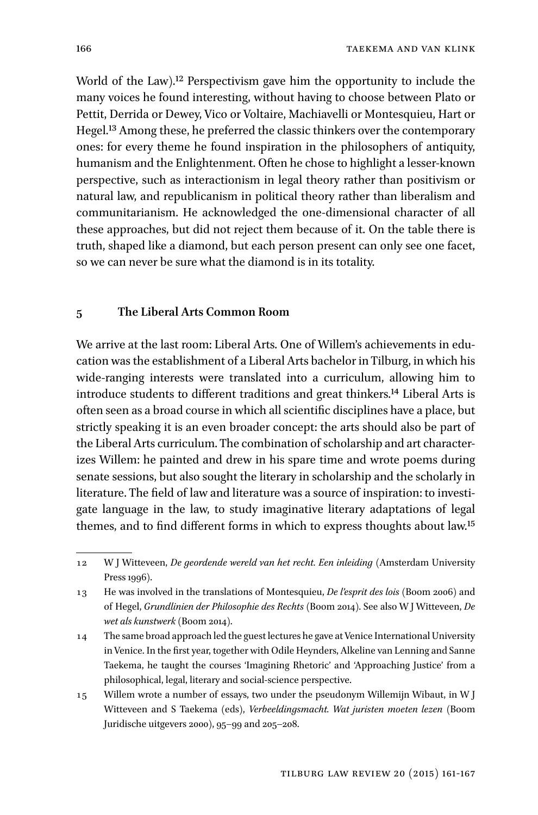World of the Law).12 Perspectivism gave him the opportunity to include the many voices he found interesting, without having to choose between Plato or Pettit, Derrida or Dewey, Vico or Voltaire, Machiavelli or Montesquieu, Hart or Hegel.13 Among these, he preferred the classic thinkers over the contemporary ones: for every theme he found inspiration in the philosophers of antiquity, humanism and the Enlightenment. Often he chose to highlight a lesser-known perspective, such as interactionism in legal theory rather than positivism or natural law, and republicanism in political theory rather than liberalism and communitarianism. He acknowledged the one-dimensional character of all these approaches, but did not reject them because of it. On the table there is truth, shaped like a diamond, but each person present can only see one facet, so we can never be sure what the diamond is in its totality.

### **5 The Liberal Arts Common Room**

We arrive at the last room: Liberal Arts. One of Willem's achievements in education was the establishment of a Liberal Arts bachelor in Tilburg, in which his wide-ranging interests were translated into a curriculum, allowing him to introduce students to different traditions and great thinkers.14 Liberal Arts is often seen as a broad course in which all scientific disciplines have a place, but strictly speaking it is an even broader concept: the arts should also be part of the Liberal Arts curriculum. The combination of scholarship and art characterizes Willem: he painted and drew in his spare time and wrote poems during senate sessions, but also sought the literary in scholarship and the scholarly in literature. The field of law and literature was a source of inspiration: to investigate language in the law, to study imaginative literary adaptations of legal themes, and to find different forms in which to express thoughts about law.15

<sup>12</sup> W J Witteveen, *De geordende wereld van het recht. Een inleiding* (Amsterdam University Press 1996).

<sup>13</sup> He was involved in the translations of Montesquieu, *De l'esprit des lois* (Boom 2006) and of Hegel, *Grundlinien der Philosophie des Rechts* (Boom 2014). See also W J Witteveen, *De wet als kunstwerk* (Boom 2014).

<sup>14</sup> The same broad approach led the guest lectures he gave at Venice International University in Venice. In the first year, together with Odile Heynders, Alkeline van Lenning and Sanne Taekema, he taught the courses 'Imagining Rhetoric' and 'Approaching Justice' from a philosophical, legal, literary and social-science perspective.

<sup>15</sup> Willem wrote a number of essays, two under the pseudonym Willemijn Wibaut, in W J Witteveen and S Taekema (eds), *Verbeeldingsmacht. Wat juristen moeten lezen* (Boom Juridische uitgevers 2000), 95–99 and 205–208.